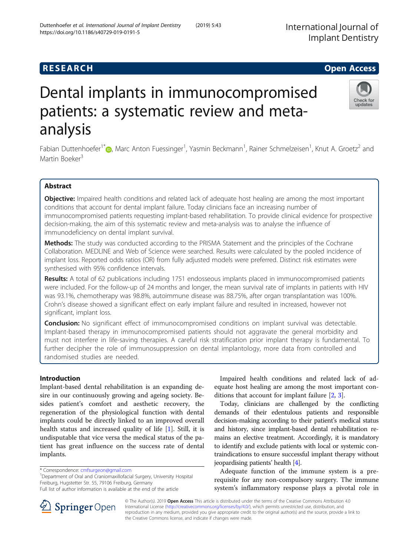# Dental implants in immunocompromised patients: a systematic review and metaanalysis

Fabian Duttenhoefer<sup>1\*</sup> (**b**[,](http://orcid.org/0000-0002-6452-7560) Marc Anton Fuessinger<sup>1</sup>, Yasmin Beckmann<sup>1</sup>, Rainer Schmelzeisen<sup>1</sup>, Knut A. Groetz<sup>2</sup> and Martin Boeker<sup>3</sup>

# Abstract

Objective: Impaired health conditions and related lack of adequate host healing are among the most important conditions that account for dental implant failure. Today clinicians face an increasing number of immunocompromised patients requesting implant-based rehabilitation. To provide clinical evidence for prospective decision-making, the aim of this systematic review and meta-analysis was to analyse the influence of immunodeficiency on dental implant survival.

Methods: The study was conducted according to the PRISMA Statement and the principles of the Cochrane Collaboration. MEDLINE and Web of Science were searched. Results were calculated by the pooled incidence of implant loss. Reported odds ratios (OR) from fully adjusted models were preferred. Distinct risk estimates were synthesised with 95% confidence intervals.

Results: A total of 62 publications including 1751 endosseous implants placed in immunocompromised patients were included. For the follow-up of 24 months and longer, the mean survival rate of implants in patients with HIV was 93.1%, chemotherapy was 98.8%, autoimmune disease was 88.75%, after organ transplantation was 100%. Crohn's disease showed a significant effect on early implant failure and resulted in increased, however not significant, implant loss.

**Conclusion:** No significant effect of immunocompromised conditions on implant survival was detectable. Implant-based therapy in immunocompromised patients should not aggravate the general morbidity and must not interfere in life-saving therapies. A careful risk stratification prior implant therapy is fundamental. To further decipher the role of immunosuppression on dental implantology, more data from controlled and randomised studies are needed.

# Introduction

Implant-based dental rehabilitation is an expanding desire in our continuously growing and ageing society. Besides patient's comfort and aesthetic recovery, the regeneration of the physiological function with dental implants could be directly linked to an improved overall health status and increased quality of life [\[1](#page-9-0)]. Still, it is undisputable that vice versa the medical status of the patient has great influence on the success rate of dental implants.

\* Correspondence: [cmfsurgeon@gmail.com](mailto:cmfsurgeon@gmail.com) <sup>1</sup>

<sup>1</sup>Department of Oral and Craniomaxillofacial Surgery, University Hospital Freiburg, Hugstetter Str. 55, 79106 Freiburg, Germany

Impaired health conditions and related lack of adequate host healing are among the most important conditions that account for implant failure [[2](#page-9-0), [3](#page-9-0)].

Today, clinicians are challenged by the conflicting demands of their edentulous patients and responsible decision-making according to their patient's medical status and history, since implant-based dental rehabilitation remains an elective treatment. Accordingly, it is mandatory to identify and exclude patients with local or systemic contraindications to ensure successful implant therapy without jeopardising patients' health [\[4\]](#page-9-0).

Adequate function of the immune system is a prerequisite for any non-compulsory surgery. The immune system's inflammatory response plays a pivotal role in

© The Author(s). 2019 Open Access This article is distributed under the terms of the Creative Commons Attribution 4.0 International License ([http://creativecommons.org/licenses/by/4.0/\)](http://creativecommons.org/licenses/by/4.0/), which permits unrestricted use, distribution, and reproduction in any medium, provided you give appropriate credit to the original author(s) and the source, provide a link to the Creative Commons license, and indicate if changes were made.







Full list of author information is available at the end of the article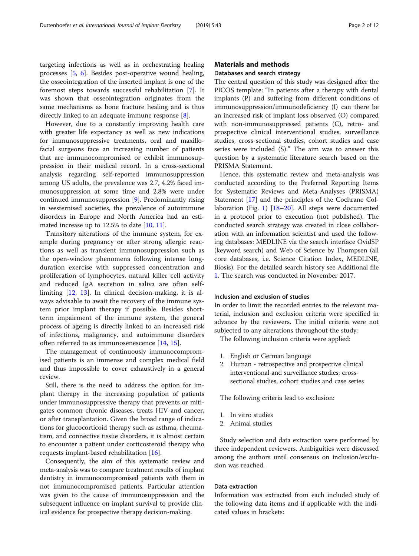targeting infections as well as in orchestrating healing processes [[5,](#page-9-0) [6](#page-9-0)]. Besides post-operative wound healing, the osseointegration of the inserted implant is one of the foremost steps towards successful rehabilitation [[7\]](#page-9-0). It was shown that osseointegration originates from the same mechanisms as bone fracture healing and is thus directly linked to an adequate immune response [\[8](#page-9-0)].

However, due to a constantly improving health care with greater life expectancy as well as new indications for immunosuppressive treatments, oral and maxillofacial surgeons face an increasing number of patients that are immunocompromised or exhibit immunosuppression in their medical record. In a cross-sectional analysis regarding self-reported immunosuppression among US adults, the prevalence was 2.7, 4.2% faced immunosuppression at some time and 2.8% were under continued immunosuppression [[9\]](#page-9-0). Predominantly rising in westernised societies, the prevalence of autoimmune disorders in Europe and North America had an estimated increase up to  $12.5%$  to date  $[10, 11]$  $[10, 11]$  $[10, 11]$  $[10, 11]$ .

Transitory alterations of the immune system, for example during pregnancy or after strong allergic reactions as well as transient immunosuppression such as the open-window phenomena following intense longduration exercise with suppressed concentration and proliferation of lymphocytes, natural killer cell activity and reduced IgA secretion in saliva are often selflimiting [\[12](#page-9-0), [13](#page-9-0)]. In clinical decision-making, it is always advisable to await the recovery of the immune system prior implant therapy if possible. Besides shortterm impairment of the immune system, the general process of ageing is directly linked to an increased risk of infections, malignancy, and autoimmune disorders often referred to as immunosenescence [[14,](#page-9-0) [15](#page-9-0)].

The management of continuously immunocompromised patients is an immense and complex medical field and thus impossible to cover exhaustively in a general review.

Still, there is the need to address the option for implant therapy in the increasing population of patients under immunosuppressive therapy that prevents or mitigates common chronic diseases, treats HIV and cancer, or after transplantation. Given the broad range of indications for glucocorticoid therapy such as asthma, rheumatism, and connective tissue disorders, it is almost certain to encounter a patient under corticosteroid therapy who requests implant-based rehabilitation [[16\]](#page-9-0).

Consequently, the aim of this systematic review and meta-analysis was to compare treatment results of implant dentistry in immunocompromised patients with them in not immunocompromised patients. Particular attention was given to the cause of immunosuppression and the subsequent influence on implant survival to provide clinical evidence for prospective therapy decision-making.

# Materials and methods

#### Databases and search strategy

The central question of this study was designed after the PICOS template: "In patients after a therapy with dental implants (P) and suffering from different conditions of immunosuppression/immunodeficiency (I) can there be an increased risk of implant loss observed (O) compared with non-immunosuppressed patients (C), retro- and prospective clinical interventional studies, surveillance studies, cross-sectional studies, cohort studies and case series were included (S)." The aim was to answer this question by a systematic literature search based on the PRISMA Statement.

Hence, this systematic review and meta-analysis was conducted according to the Preferred Reporting Items for Systematic Reviews and Meta-Analyses (PRISMA) Statement [\[17\]](#page-9-0) and the principles of the Cochrane Collaboration (Fig. [1](#page-2-0)) [[18](#page-9-0)–[20\]](#page-9-0). All steps were documented in a protocol prior to execution (not published). The conducted search strategy was created in close collaboration with an information scientist and used the following databases: MEDLINE via the search interface OvidSP (keyword search) and Web of Science by Thompsen (all core databases, i.e. Science Citation Index, MEDLINE, Biosis). For the detailed search history see Additional file [1.](#page-9-0) The search was conducted in November 2017.

# Inclusion and exclusion of studies

In order to limit the recorded entries to the relevant material, inclusion and exclusion criteria were specified in advance by the reviewers. The initial criteria were not subjected to any alterations throughout the study:

The following inclusion criteria were applied:

- 1. English or German language
- 2. Human retrospective and prospective clinical interventional and surveillance studies; crosssectional studies, cohort studies and case series

The following criteria lead to exclusion:

- 1. In vitro studies
- 2. Animal studies

Study selection and data extraction were performed by three independent reviewers. Ambiguities were discussed among the authors until consensus on inclusion/exclusion was reached.

#### Data extraction

Information was extracted from each included study of the following data items and if applicable with the indicated values in brackets: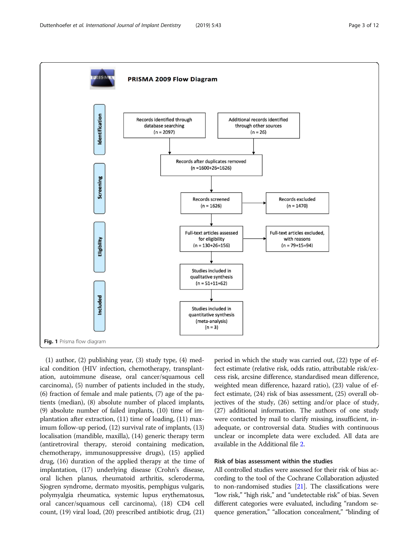<span id="page-2-0"></span>

(1) author, (2) publishing year, (3) study type, (4) medical condition (HIV infection, chemotherapy, transplantation, autoimmune disease, oral cancer/squamous cell carcinoma), (5) number of patients included in the study, (6) fraction of female and male patients, (7) age of the patients (median), (8) absolute number of placed implants, (9) absolute number of failed implants, (10) time of implantation after extraction, (11) time of loading, (11) maximum follow-up period, (12) survival rate of implants, (13) localisation (mandible, maxilla), (14) generic therapy term (antiretroviral therapy, steroid containing medication, chemotherapy, immunosuppressive drugs), (15) applied drug, (16) duration of the applied therapy at the time of implantation, (17) underlying disease (Crohn's disease, oral lichen planus, rheumatoid arthritis, scleroderma, Sjogren syndrome, dermato myositis, pemphigus vulgaris, polymyalgia rheumatica, systemic lupus erythematosus, oral cancer/squamous cell carcinoma), (18) CD4 cell count, (19) viral load, (20) prescribed antibiotic drug, (21)

period in which the study was carried out, (22) type of effect estimate (relative risk, odds ratio, attributable risk/excess risk, arcsine difference, standardised mean difference, weighted mean difference, hazard ratio), (23) value of effect estimate, (24) risk of bias assessment, (25) overall objectives of the study, (26) setting and/or place of study, (27) additional information. The authors of one study were contacted by mail to clarify missing, insufficient, inadequate, or controversial data. Studies with continuous unclear or incomplete data were excluded. All data are available in the Additional file [2](#page-9-0).

# Risk of bias assessment within the studies

All controlled studies were assessed for their risk of bias according to the tool of the Cochrane Collaboration adjusted to non-randomised studies  $[21]$ . The classifications were "low risk," "high risk," and "undetectable risk" of bias. Seven different categories were evaluated, including "random sequence generation," "allocation concealment," "blinding of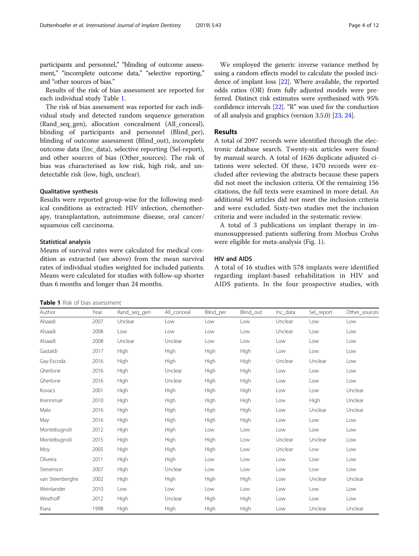participants and personnel," "blinding of outcome assessment," "incomplete outcome data," "selective reporting," and "other sources of bias."

Results of the risk of bias assessment are reported for each individual study Table 1.

The risk of bias assessment was reported for each individual study and detected random sequence generation (Rand\_seq\_gen), allocation concealment (All\_conceal), blinding of participants and personnel (Blind\_per), blinding of outcome assessment (Blind\_out), incomplete outcome data (Inc\_data), selective reporting (Sel-report), and other sources of bias (Other\_sources). The risk of bias was characterised as low risk, high risk, and undetectable risk (low, high, unclear).

#### Qualitative synthesis

Results were reported group-wise for the following medical conditions as extracted: HIV infection, chemotherapy, transplantation, autoimmune disease, oral cancer/ squamous cell carcinoma.

#### Statistical analysis

Means of survival rates were calculated for medical condition as extracted (see above) from the mean survival rates of individual studies weighted for included patients. Means were calculated for studies with follow-up shorter than 6 months and longer than 24 months.

## Table 1 Risk of bias assessment

We employed the generic inverse variance method by using a random effects model to calculate the pooled incidence of implant loss [\[22\]](#page-9-0). Where available, the reported odds ratios (OR) from fully adjusted models were preferred. Distinct risk estimates were synthesised with 95% confidence intervals [[22](#page-9-0)]. "R" was used for the conduction of all analysis and graphics (version 3.5.0) [[23](#page-9-0), [24\]](#page-10-0).

#### Results

A total of 2097 records were identified through the electronic database search. Twenty-six articles were found by manual search. A total of 1626 duplicate adjusted citations were selected. Of these, 1470 records were excluded after reviewing the abstracts because these papers did not meet the inclusion criteria. Of the remaining 156 citations, the full texts were examined in more detail. An additional 94 articles did not meet the inclusion criteria and were excluded. Sixty-two studies met the inclusion criteria and were included in the systematic review.

A total of 3 publications on implant therapy in immunosuppressed patients suffering from Morbus Crohn were eligible for meta-analysis (Fig. [1\)](#page-2-0).

# HIV and AIDS

A total of 16 studies with 578 implants were identified regarding implant-based rehabilitation in HIV and AIDS patients. In the four prospective studies, with

| Author<br>Year  |      | Rand_seq_gen | All conceal | Blind_per           | Blind_out | Inc_data | Sel_report | Other_sources |  |
|-----------------|------|--------------|-------------|---------------------|-----------|----------|------------|---------------|--|
| Alsaadi         | 2007 | Unclear      | Low         | Low                 | Low       | Unclear  | Low        | Low           |  |
| Alsaadi         | 2008 | Low          | Low         | Low                 | Low       | Unclear  | Low        | Low           |  |
| Alsaadi         | 2008 | Unclear      | Unclear     | Low                 | Low       | Low      | Low        | Low           |  |
| Gastaldi        | 2017 | High         | High        | High<br>High<br>Low |           |          | Low        | Low           |  |
| Gay-Escoda      | 2016 | High         | High        | High                | High      | Unclear  | Unclear    | Low           |  |
| Gherlone        | 2016 | High         | Unclear     | High                | High      | Low      | Low        | Low           |  |
| Gherlone        | 2016 | High         | Unclear     | High                | High      | Low      | Low        | Low           |  |
| Kovacs          | 2001 | High         | High        | High                | High      | Low      | Low        | Unclear       |  |
| Krennmair       | 2010 | High         | High        | High                | High      | Low      | High       | Unclear       |  |
| Malo            | 2016 | High         | High        | High                | High      | Low      | Unclear    | Unclear       |  |
| May             | 2016 | High         | High        | High                | High      | Low      | Low        | Low           |  |
| Montebugnoli    | 2012 | High         | High        | Low                 | Low       | Low      | Low        | Low           |  |
| Montebugnoli    | 2015 | High         | High        | High                | Low       | Unclear  | Unclear    | Low           |  |
| Moy             | 2005 | High         | High        | High                | Low       | Unclear  | Low        | Low           |  |
| Oliveira        | 2011 | High         | High        | Low                 | Low       | Low      | Low        | Low           |  |
| Stevenson       | 2007 | High         | Unclear     | Low                 | Low       | Low      | Low        | Low           |  |
| van Steenberghe | 2002 | High         | High        | High                | High      | Low      | Unclear    | Unclear       |  |
| Weinlander      | 2010 | Low          | Low         | Low                 | Low       | Low      | Low        | Low           |  |
| Westhoff        | 2012 | High         | Unclear     | High                | High      | Low      | Low        | Low           |  |
| Ihara           | 1998 | High         | High        | High                | High      | Low      | Unclear    | Unclear       |  |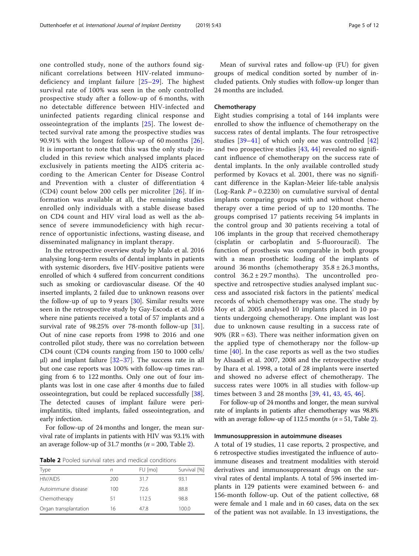<span id="page-4-0"></span>one controlled study, none of the authors found significant correlations between HIV-related immunodeficiency and implant failure [[25](#page-10-0)–[29\]](#page-10-0). The highest survival rate of 100% was seen in the only controlled prospective study after a follow-up of 6 months, with no detectable difference between HIV-infected and uninfected patients regarding clinical response and osseointegration of the implants [[25](#page-10-0)]. The lowest detected survival rate among the prospective studies was 90.91% with the longest follow-up of 60 months [[26](#page-10-0)]. It is important to note that this was the only study included in this review which analysed implants placed exclusively in patients meeting the AIDS criteria according to the American Center for Disease Control and Prevention with a cluster of differentiation 4 (CD4) count below 200 cells per microliter [\[26\]](#page-10-0). If information was available at all, the remaining studies enrolled only individuals with a stable disease based on CD4 count and HIV viral load as well as the absence of severe immunodeficiency with high recurrence of opportunistic infections, wasting disease, and disseminated malignancy in implant therapy.

In the retrospective overview study by Malo et al. 2016 analysing long-term results of dental implants in patients with systemic disorders, five HIV-positive patients were enrolled of which 4 suffered from concurrent conditions such as smoking or cardiovascular disease. Of the 40 inserted implants, 2 failed due to unknown reasons over the follow-up of up to 9 years [\[30\]](#page-10-0). Similar results were seen in the retrospective study by Gay-Escoda et al. 2016 where nine patients received a total of 57 implants and a survival rate of 98.25% over 78-month follow-up [\[31](#page-10-0)]. Out of nine case reports from 1998 to 2016 and one controlled pilot study, there was no correlation between CD4 count (CD4 counts ranging from 150 to 1000 cells/ μl) and implant failure [[32](#page-10-0)–[37](#page-10-0)]. The success rate in all but one case reports was 100% with follow-up times ranging from 6 to 122 months. Only one out of four implants was lost in one case after 4 months due to failed osseointegration, but could be replaced successfully [\[38](#page-10-0)]. The detected causes of implant failure were periimplantitis, tilted implants, failed osseointegration, and early infection.

For follow-up of 24 months and longer, the mean survival rate of implants in patients with HIV was 93.1% with an average follow-up of 31.7 months ( $n = 200$ , Table 2).

Table 2 Pooled survival rates and medical conditions

| Type                  | n   | FU [mo] | Survival [%] |
|-----------------------|-----|---------|--------------|
| <b>HIV/AIDS</b>       | 200 | 31.7    | 93.1         |
| Autoimmune disease    | 100 | 726     | 88.8         |
| Chemotherapy          | 51  | 112.5   | 98.8         |
| Organ transplantation | 16  | 478     | 100.0        |

Mean of survival rates and follow-up (FU) for given groups of medical condition sorted by number of included patients. Only studies with follow-up longer than 24 months are included.

#### Chemotherapy

Eight studies comprising a total of 144 implants were enrolled to show the influence of chemotherapy on the success rates of dental implants. The four retrospective studies [[39](#page-10-0)–[41\]](#page-10-0) of which only one was controlled [\[42](#page-10-0)] and two prospective studies [\[43](#page-10-0), [44\]](#page-10-0) revealed no significant influence of chemotherapy on the success rate of dental implants. In the only available controlled study performed by Kovacs et al. 2001, there was no significant difference in the Kaplan-Meier life-table analysis (Log-Rank  $P = 0.2230$ ) on cumulative survival of dental implants comparing groups with and without chemotherapy over a time period of up to 120 months. The groups comprised 17 patients receiving 54 implants in the control group and 30 patients receiving a total of 106 implants in the group that received chemotherapy (cisplatin or carboplatin and 5-fluorouracil). The function of prosthesis was comparable in both groups with a mean prosthetic loading of the implants of around 36 months (chemotherapy  $35.8 \pm 26.3$  months, control  $36.2 \pm 29.7$  months). The uncontrolled prospective and retrospective studies analysed implant success and associated risk factors in the patients' medical records of which chemotherapy was one. The study by Moy et al. 2005 analysed 10 implants placed in 10 patients undergoing chemotherapy. One implant was lost due to unknown cause resulting in a success rate of 90% ( $RR = 63$ ). There was neither information given on the applied type of chemotherapy nor the follow-up time  $[40]$  $[40]$ . In the case reports as well as the two studies by Alsaadi et al. 2007, 2008 and the retrospective study by Ihara et al. 1998, a total of 28 implants were inserted and showed no adverse effect of chemotherapy. The success rates were 100% in all studies with follow-up times between 3 and 28 months [\[39](#page-10-0), [41,](#page-10-0) [43,](#page-10-0) [45,](#page-10-0) [46](#page-10-0)].

For follow-up of 24 months and longer, the mean survival rate of implants in patients after chemotherapy was 98.8% with an average follow-up of 112.5 months ( $n = 51$ , Table 2).

#### Immunosuppression in autoimmune diseases

A total of 19 studies, 11 case reports, 2 prospective, and 6 retrospective studies investigated the influence of autoimmune diseases and treatment modalities with steroid derivatives and immunosuppressant drugs on the survival rates of dental implants. A total of 596 inserted implants in 129 patients were examined between 6- and 156-month follow-up. Out of the patient collective, 68 were female and 1 male and in 60 cases, data on the sex of the patient was not available. In 13 investigations, the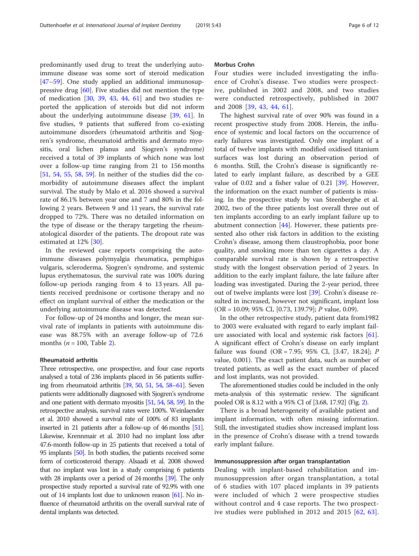predominantly used drug to treat the underlying autoimmune disease was some sort of steroid medication [[47](#page-10-0)–[59](#page-10-0)]. One study applied an additional immunosuppressive drug [\[60](#page-10-0)]. Five studies did not mention the type of medication [[30](#page-10-0), [39,](#page-10-0) [43,](#page-10-0) [44](#page-10-0), [61\]](#page-10-0) and two studies reported the application of steroids but did not inform about the underlying autoimmune disease [[39,](#page-10-0) [61\]](#page-10-0). In five studies, 9 patients that suffered from co-existing autoimmune disorders (rheumatoid arthritis and Sjogren's syndrome, rheumatoid arthritis and dermato myositis, oral lichen planus and Sjogren's syndrome) received a total of 39 implants of which none was lost over a follow-up time ranging from 21 to 156 months [[51,](#page-10-0) [54](#page-10-0), [55,](#page-10-0) [58](#page-10-0), [59\]](#page-10-0). In neither of the studies did the comorbidity of autoimmune diseases affect the implant survival. The study by Malo et al. 2016 showed a survival rate of 86.1% between year one and 7 and 80% in the following 2 years. Between 9 and 11 years, the survival rate dropped to 72%. There was no detailed information on the type of disease or the therapy targeting the rheumatological disorder of the patients. The dropout rate was estimated at 12% [\[30](#page-10-0)].

In the reviewed case reports comprising the autoimmune diseases polymyalgia rheumatica, pemphigus vulgaris, scleroderma, Sjogren's syndrome, and systemic lupus erythematosus, the survival rate was 100% during follow-up periods ranging from 4 to 13 years. All patients received prednisone or cortisone therapy and no effect on implant survival of either the medication or the underlying autoimmune disease was detected.

For follow-up of 24 months and longer, the mean survival rate of implants in patients with autoimmune disease was 88.75% with an average follow-up of 72.6 months ( $n = 100$ , Table [2](#page-4-0)).

# Rheumatoid arthritis

Three retrospective, one prospective, and four case reports analysed a total of 236 implants placed in 56 patients suffering from rheumatoid arthritis [\[39,](#page-10-0) [50](#page-10-0), [51](#page-10-0), [54,](#page-10-0) [58](#page-10-0)–[61\]](#page-10-0). Seven patients were additionally diagnosed with Sjogren's syndrome and one patient with dermato myositis [\[51](#page-10-0), [54,](#page-10-0) [58](#page-10-0), [59](#page-10-0)]. In the retrospective analysis, survival rates were 100%. Weinlaender et al. 2010 showed a survival rate of 100% of 83 implants inserted in 21 patients after a follow-up of 46 months [\[51\]](#page-10-0). Likewise, Krennmair et al. 2010 had no implant loss after 47.6-month follow-up in 25 patients that received a total of 95 implants  $[50]$  $[50]$ . In both studies, the patients received some form of corticosteroid therapy. Alsaadi et al. 2008 showed that no implant was lost in a study comprising 6 patients with 28 implants over a period of 24 months [\[39](#page-10-0)]. The only prospective study reported a survival rate of 92.9% with one out of 14 implants lost due to unknown reason [\[61](#page-10-0)]. No influence of rheumatoid arthritis on the overall survival rate of dental implants was detected.

#### Morbus Crohn

Four studies were included investigating the influence of Crohn's disease. Two studies were prospective, published in 2002 and 2008, and two studies were conducted retrospectively, published in 2007 and 2008 [[39](#page-10-0), [43,](#page-10-0) [44](#page-10-0), [61](#page-10-0)].

The highest survival rate of over 90% was found in a recent prospective study from 2008. Herein, the influence of systemic and local factors on the occurrence of early failures was investigated. Only one implant of a total of twelve implants with modified oxidised titanium surfaces was lost during an observation period of 6 months. Still, the Crohn's disease is significantly related to early implant failure, as described by a GEE value of  $0.02$  and a fisher value of  $0.21$  [ $39$ ]. However, the information on the exact number of patients is missing. In the prospective study by van Steenberghe et al. 2002, two of the three patients lost overall three out of ten implants according to an early implant failure up to abutment connection [[44\]](#page-10-0). However, these patients presented also other risk factors in addition to the existing Crohn's disease, among them claustrophobia, poor bone quality, and smoking more than ten cigarettes a day. A comparable survival rate is shown by a retrospective study with the longest observation period of 2 years. In addition to the early implant failure, the late failure after loading was investigated. During the 2-year period, three out of twelve implants were lost [\[39](#page-10-0)]. Crohn's disease resulted in increased, however not significant, implant loss (OR = 10.09; 95% CI, [0.73, 139.79]; P value, 0.09).

In the other retrospective study, patient data from1982 to 2003 were evaluated with regard to early implant failure associated with local and systemic risk factors  $[61]$  $[61]$ . A significant effect of Crohn's disease on early implant failure was found (OR = 7.95; 95% CI, [3.47, 18.24]; P value, 0.001). The exact patient data, such as number of treated patients, as well as the exact number of placed and lost implants, was not provided.

The aforementioned studies could be included in the only meta-analysis of this systematic review. The significant pooled OR is 8.12 with a 95% CI of [3.68, 17.92] (Fig. [2](#page-6-0)).

There is a broad heterogeneity of available patient and implant information, with often missing information. Still, the investigated studies show increased implant loss in the presence of Crohn's disease with a trend towards early implant failure.

#### Immunosuppression after organ transplantation

Dealing with implant-based rehabilitation and immunosuppression after organ transplantation, a total of 6 studies with 107 placed implants in 39 patients were included of which 2 were prospective studies without control and 4 case reports. The two prospective studies were published in 2012 and 2015 [\[62,](#page-10-0) [63](#page-10-0)].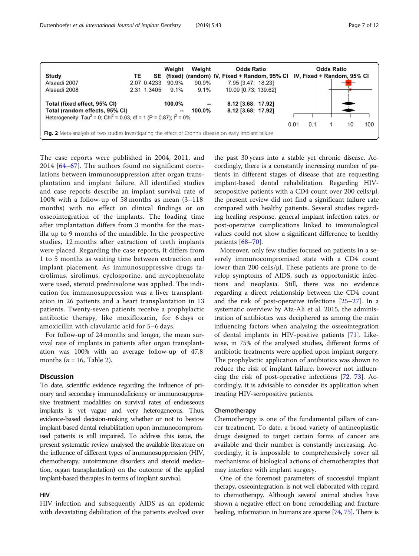<span id="page-6-0"></span>

| Study                                                                                                                                                                                                                                                                                 | TE |             | Weight  | Weight  | <b>Odds Ratio</b><br>SE (fixed) (random) IV, Fixed + Random, 95% CI IV, Fixed + Random, 95% CI |      |     | <b>Odds Ratio</b> |    |     |
|---------------------------------------------------------------------------------------------------------------------------------------------------------------------------------------------------------------------------------------------------------------------------------------|----|-------------|---------|---------|------------------------------------------------------------------------------------------------|------|-----|-------------------|----|-----|
| Alsaadi 2007                                                                                                                                                                                                                                                                          |    | 2.07 0.4233 | 90.9%   | 90.9%   | 7.95 [3.47; 18.23]                                                                             |      |     |                   |    |     |
| Alsaadi 2008                                                                                                                                                                                                                                                                          |    | 2.31 1.3405 | $9.1\%$ | $9.1\%$ | 10.09 [0.73; 139.62]                                                                           |      |     |                   |    |     |
| Total (fixed effect, 95% CI)<br>8.12 [3.68; 17.92]<br>100.0%<br>$\overline{\phantom{a}}$<br>Total (random effects, 95% CI)<br>8.12 [3.68; 17.92]<br>100.0%<br>$\overline{\phantom{a}}$<br>Heterogeneity: Tau <sup>2</sup> = 0; Chi <sup>2</sup> = 0.03, df = 1 (P = 0.87); $1^2$ = 0% |    |             |         |         |                                                                                                |      |     |                   |    |     |
|                                                                                                                                                                                                                                                                                       |    |             |         |         |                                                                                                | 0.01 | 0.1 |                   | 10 | 100 |
| Fig. 2 Meta-analysis of two studies investigating the effect of Crohn's disease on early implant failure                                                                                                                                                                              |    |             |         |         |                                                                                                |      |     |                   |    |     |

The case reports were published in 2004, 2011, and 2014 [[64](#page-10-0)–[67](#page-10-0)]. The authors found no significant correlations between immunosuppression after organ transplantation and implant failure. All identified studies and case reports describe an implant survival rate of 100% with a follow-up of 58 months as mean (3–118 months) with no effect on clinical findings or on osseointegration of the implants. The loading time after implantation differs from 3 months for the maxilla up to 9 months of the mandible. In the prospective studies, 12 months after extraction of teeth implants were placed. Regarding the case reports, it differs from 1 to 5 months as waiting time between extraction and implant placement. As immunosuppressive drugs tacrolimus, sirolimus, cyclosporine, and mycophenolate were used, steroid prednisolone was applied. The indication for immunosuppression was a liver transplantation in 26 patients and a heart transplantation in 13 patients. Twenty-seven patients receive a prophylactic antibiotic therapy, like moxifloxacin, for 6 days or amoxicillin with clavulanic acid for 5–6 days.

For follow-up of 24 months and longer, the mean survival rate of implants in patients after organ transplantation was 100% with an average follow-up of 47.8 months ( $n = 16$ , Table [2](#page-4-0)).

# **Discussion**

To date, scientific evidence regarding the influence of primary and secondary immunodeficiency or immunosuppressive treatment modalities on survival rates of endosseous implants is yet vague and very heterogeneous. Thus, evidence-based decision-making whether or not to bestow implant-based dental rehabilitation upon immunocompromised patients is still impaired. To address this issue, the present systematic review analysed the available literature on the influence of different types of immunosuppression (HIV, chemotherapy, autoimmune disorders and steroid medication, organ transplantation) on the outcome of the applied implant-based therapies in terms of implant survival.

# HIV

HIV infection and subsequently AIDS as an epidemic with devastating debilitation of the patients evolved over the past 30 years into a stable yet chronic disease. Accordingly, there is a constantly increasing number of patients in different stages of disease that are requesting implant-based dental rehabilitation. Regarding HIVseropositive patients with a CD4 count over 200 cells/μl, the present review did not find a significant failure rate compared with healthy patients. Several studies regarding healing response, general implant infection rates, or post-operative complications linked to immunological values could not show a significant difference to healthy patients [[68](#page-10-0)–[70\]](#page-11-0).

Moreover, only few studies focused on patients in a severely immunocompromised state with a CD4 count lower than 200 cells/μl. These patients are prone to develop symptoms of AIDS, such as opportunistic infections and neoplasia. Still, there was no evidence regarding a direct relationship between the CD4 count and the risk of post-operative infections [\[25](#page-10-0)–[27\]](#page-10-0). In a systematic overview by Ata-Ali et al. 2015, the administration of antibiotics was deciphered as among the main influencing factors when analysing the osseointegration of dental implants in HIV-positive patients [[71](#page-11-0)]. Likewise, in 75% of the analysed studies, different forms of antibiotic treatments were applied upon implant surgery. The prophylactic application of antibiotics was shown to reduce the risk of implant failure, however not influencing the risk of post-operative infections [\[72,](#page-11-0) [73\]](#page-11-0). Accordingly, it is advisable to consider its application when treating HIV-seropositive patients.

# Chemotherapy

Chemotherapy is one of the fundamental pillars of cancer treatment. To date, a broad variety of antineoplastic drugs designed to target certain forms of cancer are available and their number is constantly increasing. Accordingly, it is impossible to comprehensively cover all mechanisms of biological actions of chemotherapies that may interfere with implant surgery.

One of the foremost parameters of successful implant therapy, osseointegration, is not well elaborated with regard to chemotherapy. Although several animal studies have shown a negative effect on bone remodelling and fracture healing, information in humans are sparse [\[74,](#page-11-0) [75\]](#page-11-0). There is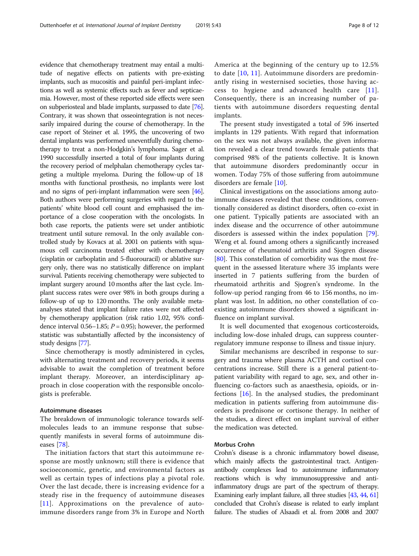evidence that chemotherapy treatment may entail a multitude of negative effects on patients with pre-existing implants, such as mucositis and painful peri-implant infections as well as systemic effects such as fever and septicaemia. However, most of these reported side effects were seen on subperiosteal and blade implants, surpassed to date [\[76](#page-11-0)]. Contrary, it was shown that osseointegration is not necessarily impaired during the course of chemotherapy. In the case report of Steiner et al. 1995, the uncovering of two dental implants was performed uneventfully during chemotherapy to treat a non-Hodgkin's lymphoma. Sager et al. 1990 successfully inserted a total of four implants during the recovery period of melphalan chemotherapy cycles targeting a multiple myeloma. During the follow-up of 18 months with functional prosthesis, no implants were lost and no signs of peri-implant inflammation were seen [\[46](#page-10-0)]. Both authors were performing surgeries with regard to the patients' white blood cell count and emphasised the importance of a close cooperation with the oncologists. In both case reports, the patients were set under antibiotic treatment until suture removal. In the only available controlled study by Kovacs at al. 2001 on patients with squamous cell carcinoma treated either with chemotherapy (cisplatin or carboplatin and 5-fluorouracil) or ablative surgery only, there was no statistically difference on implant survival. Patients receiving chemotherapy were subjected to implant surgery around 10 months after the last cycle. Implant success rates were over 98% in both groups during a follow-up of up to 120 months. The only available metaanalyses stated that implant failure rates were not affected by chemotherapy application (risk ratio 1.02, 95% confidence interval 0.56–1.85;  $P = 0.95$ ); however, the performed statistic was substantially affected by the inconsistency of study designs [\[77\]](#page-11-0).

Since chemotherapy is mostly administered in cycles, with alternating treatment and recovery periods, it seems advisable to await the completion of treatment before implant therapy. Moreover, an interdisciplinary approach in close cooperation with the responsible oncologists is preferable.

#### Autoimmune diseases

The breakdown of immunologic tolerance towards selfmolecules leads to an immune response that subsequently manifests in several forms of autoimmune diseases [[78](#page-11-0)].

The initiation factors that start this autoimmune response are mostly unknown; still there is evidence that socioeconomic, genetic, and environmental factors as well as certain types of infections play a pivotal role. Over the last decade, there is increasing evidence for a steady rise in the frequency of autoimmune diseases [[11](#page-9-0)]. Approximations on the prevalence of autoimmune disorders range from 3% in Europe and North America at the beginning of the century up to 12.5% to date [[10](#page-9-0), [11\]](#page-9-0). Autoimmune disorders are predominantly rising in westernised societies, those having access to hygiene and advanced health care [[11](#page-9-0)]. Consequently, there is an increasing number of patients with autoimmune disorders requesting dental implants.

The present study investigated a total of 596 inserted implants in 129 patients. With regard that information on the sex was not always available, the given information revealed a clear trend towards female patients that comprised 98% of the patients collective. It is known that autoimmune disorders predominantly occur in women. Today 75% of those suffering from autoimmune disorders are female [\[10](#page-9-0)].

Clinical investigations on the associations among autoimmune diseases revealed that these conditions, conventionally considered as distinct disorders, often co-exist in one patient. Typically patients are associated with an index disease and the occurrence of other autoimmune disorders is assessed within the index population [\[79](#page-11-0)]. Weng et al. found among others a significantly increased occurrence of rheumatoid arthritis and Sjogren disease [[80\]](#page-11-0). This constellation of comorbidity was the most frequent in the assessed literature where 35 implants were inserted in 7 patients suffering from the burden of rheumatoid arthritis and Sjogren's syndrome. In the follow-up period ranging from 46 to 156 months, no implant was lost. In addition, no other constellation of coexisting autoimmune disorders showed a significant influence on implant survival.

It is well documented that exogenous corticosteroids, including low-dose inhaled drugs, can suppress counterregulatory immune response to illness and tissue injury.

Similar mechanisms are described in response to surgery and trauma where plasma ACTH and cortisol concentrations increase. Still there is a general patient-topatient variability with regard to age, sex, and other influencing co-factors such as anaesthesia, opioids, or infections [\[16\]](#page-9-0). In the analysed studies, the predominant medication in patients suffering from autoimmune disorders is prednisone or cortisone therapy. In neither of the studies, a direct effect on implant survival of either the medication was detected.

# Morbus Crohn

Crohn's disease is a chronic inflammatory bowel disease, which mainly affects the gastrointestinal tract. Antigenantibody complexes lead to autoimmune inflammatory reactions which is why immunosuppressive and antiinflammatory drugs are part of the spectrum of therapy. Examining early implant failure, all three studies [\[43](#page-10-0), [44](#page-10-0), [61](#page-10-0)] concluded that Crohn's disease is related to early implant failure. The studies of Alsaadi et al. from 2008 and 2007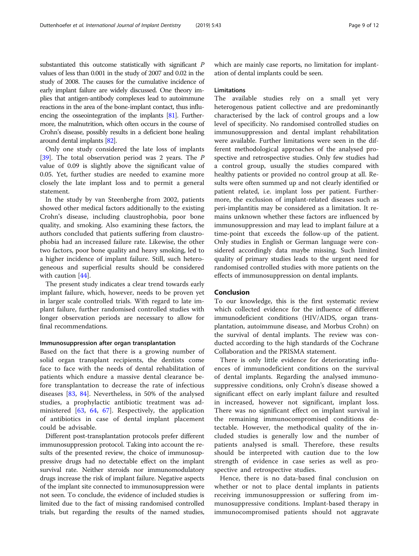substantiated this outcome statistically with significant P values of less than 0.001 in the study of 2007 and 0.02 in the study of 2008. The causes for the cumulative incidence of early implant failure are widely discussed. One theory implies that antigen-antibody complexes lead to autoimmune reactions in the area of the bone-implant contact, thus influencing the osseointegration of the implants [\[81\]](#page-11-0). Furthermore, the malnutrition, which often occurs in the course of Crohn's disease, possibly results in a deficient bone healing around dental implants [\[82](#page-11-0)].

Only one study considered the late loss of implants [[39\]](#page-10-0). The total observation period was 2 years. The P value of 0.09 is slightly above the significant value of 0.05. Yet, further studies are needed to examine more closely the late implant loss and to permit a general statement.

In the study by van Steenberghe from 2002, patients showed other medical factors additionally to the existing Crohn's disease, including claustrophobia, poor bone quality, and smoking. Also examining these factors, the authors concluded that patients suffering from claustrophobia had an increased failure rate. Likewise, the other two factors, poor bone quality and heavy smoking, led to a higher incidence of implant failure. Still, such heterogeneous and superficial results should be considered with caution [[44\]](#page-10-0).

The present study indicates a clear trend towards early implant failure, which, however, needs to be proven yet in larger scale controlled trials. With regard to late implant failure, further randomised controlled studies with longer observation periods are necessary to allow for final recommendations.

#### Immunosuppression after organ transplantation

Based on the fact that there is a growing number of solid organ transplant recipients, the dentists come face to face with the needs of dental rehabilitation of patients which endure a massive dental clearance before transplantation to decrease the rate of infectious diseases [\[83](#page-11-0), [84](#page-11-0)]. Nevertheless, in 50% of the analysed studies, a prophylactic antibiotic treatment was administered [[63,](#page-10-0) [64,](#page-10-0) [67\]](#page-10-0). Respectively, the application of antibiotics in case of dental implant placement could be advisable.

Different post-transplantation protocols prefer different immunosuppression protocol. Taking into account the results of the presented review, the choice of immunosuppressive drugs had no detectable effect on the implant survival rate. Neither steroids nor immunomodulatory drugs increase the risk of implant failure. Negative aspects of the implant site connected to immunosuppression were not seen. To conclude, the evidence of included studies is limited due to the fact of missing randomised controlled trials, but regarding the results of the named studies, which are mainly case reports, no limitation for implantation of dental implants could be seen.

## Limitations

The available studies rely on a small yet very heterogenous patient collective and are predominantly characterised by the lack of control groups and a low level of specificity. No randomised controlled studies on immunosuppression and dental implant rehabilitation were available. Further limitations were seen in the different methodological approaches of the analysed prospective and retrospective studies. Only few studies had a control group, usually the studies compared with healthy patients or provided no control group at all. Results were often summed up and not clearly identified or patient related, i.e. implant loss per patient. Furthermore, the exclusion of implant-related diseases such as peri-implantitis may be considered as a limitation. It remains unknown whether these factors are influenced by immunosuppression and may lead to implant failure at a time-point that exceeds the follow-up of the patient. Only studies in English or German language were considered accordingly data maybe missing. Such limited quality of primary studies leads to the urgent need for randomised controlled studies with more patients on the effects of immunosuppression on dental implants.

#### Conclusion

To our knowledge, this is the first systematic review which collected evidence for the influence of different immunodeficient conditions (HIV/AIDS, organ transplantation, autoimmune disease, and Morbus Crohn) on the survival of dental implants. The review was conducted according to the high standards of the Cochrane Collaboration and the PRISMA statement.

There is only little evidence for deteriorating influences of immunodeficient conditions on the survival of dental implants. Regarding the analysed immunosuppressive conditions, only Crohn's disease showed a significant effect on early implant failure and resulted in increased, however not significant, implant loss. There was no significant effect on implant survival in the remaining immunocompromised conditions detectable. However, the methodical quality of the included studies is generally low and the number of patients analysed is small. Therefore, these results should be interpreted with caution due to the low strength of evidence in case series as well as prospective and retrospective studies.

Hence, there is no data-based final conclusion on whether or not to place dental implants in patients receiving immunosuppression or suffering from immunosuppressive conditions. Implant-based therapy in immunocompromised patients should not aggravate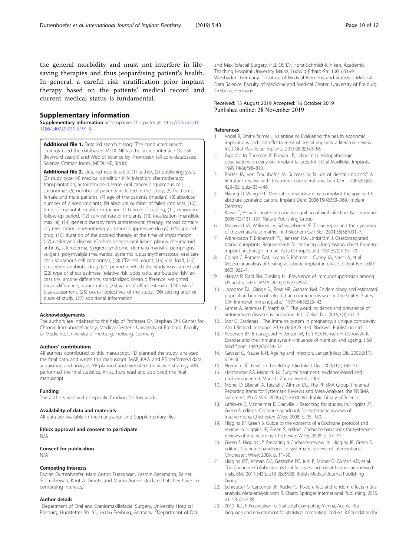<span id="page-9-0"></span>the general morbidity and must not interfere in lifesaving therapies and thus jeopardising patient's health. In general, a careful risk stratification prior implant therapy based on the patients' medical record and current medical status is fundamental.

#### Supplementary information

Supplementary information accompanies this paper at [https://doi.org/10.](https://doi.org/10.1186/s40729-019-0191-5) [1186/s40729-019-0191-5.](https://doi.org/10.1186/s40729-019-0191-5)

Additional file 1. Detailed search history. The conducted search strategy used the databases: MEDLINE via the search interface OvidSP (keyword search) and Web of Science by Thompsen (all core databases: Science Citation Index, MEDLINE, Biosis).

Additional file 2. Detailed results table. (1) author, (2) publishing year, (3) study type, (4) medical condition (HIV infection, chemotherapy, transplantation, autoimmune disease, oral cancer / squamous cell carcinoma), (5) number of patients included in the study, (6) fraction of female and male patients, (7) age of the patients (median), (8) absolute number of placed implants, (9) absolute number of failed implants, (10) time of implantation after extraction, (11) time of loading, (11) maximum follow-up period, (12) survival rate of implants, (13) localization (mandible, maxilla), (14) generic therapy term (antiretroviral therapy, steroid containing medication, chemotherapy, immunosuppressive drugs), (15) applied drug, (16) duration of the applied therapy at the time of implantation, (17) underlying disease (Crohn's disease, oral lichen planus, rheumatoid arthritis, scleroderma, Sjogren syndrome, dermato myositis, pemphigus vulgaris, polymyalgia rheumatica, systemic lupus erythematosus, oral cancer / squamous cell carcinoma), (18) CD4 cell count, (19) viral load, (20) prescribed antibiotic drug, (21) period in which the study was carried out, (22) type of effect estimate (relative risk, odds ratio, attributable risk/ excess risk, arcsine difference, standardized mean difference, weighted mean difference, hazard ratio), (23) value of effect estimate, (24) risk of bias assessment, (25) overall objectives of the study, (26) setting and/ or place of study, (27) additional information.

#### Acknowledgements

The authors are indebted to the help of Professor Dr. Stephan Ehl, Center for Chronic Immunodeficiency, Medical Center - University of Freiburg, Faculty of Medicine, University of Freiburg, Freiburg, Germany.

#### Authors' contributions

All authors contributed to this manuscript. FD planned the study, analysed the final data, and wrote this manuscript. MAF, KAG, and RS performed data acquisition and analysis. YB planned and executed the search strategy. MB performed the final statistics. All authors read and approved the final manuscript.

#### Funding

The authors received no specific funding for this work.

#### Availability of data and materials

All data are available in the manuscript and Supplementary files.

Ethics approval and consent to participate

N/A

# Consent for publication

N/A

#### Competing interests

Fabian Duttenhoefer, Marc Anton Fuessinger, Yasmin Beckmann, Rainer Schmelzeisen, Knut A. Groetz, and Martin Boeker declare that they have no competing interests.

#### Author details

<sup>1</sup>Department of Oral and Craniomaxillofacial Surgery, University Hospital Freiburg, Hugstetter Str. 55, 79106 Freiburg, Germany. <sup>2</sup>Department of Oral and Maxillofacial Surgery, HELIOS Dr. Horst-Schmidt-Kliniken, Academic Teaching Hospital University Mainz, Ludwig-Erhard-Str. 100, 65199 Wiesbaden, Germany. <sup>3</sup>Institute of Medical Biometry and Statistics, Medical Data Science, Faculty of Medicine and Medical Center, University of Freiburg, Freiburg, Germany.

#### Received: 15 August 2019 Accepted: 16 October 2019 Published online: 28 November 2019

#### References

- 1. Vogel R, Smith-Palmer J, Valentine W. Evaluating the health economic implications and cost-effectiveness of dental implants: a literature review. Int J Oral Maxillofac Implants. 2013;28(2):343–56.
- 2. Esposito M, Thomsen P, Ericson LE, Lekholm U. Histopathologic observations on early oral implant failures. Int J Oral Maxillofac Implants. 1999;14(6):798–810.
- 3. Porter JA, von Fraunhofer JA. Success or failure of dental implants? A literature review with treatment considerations. Gen Dent. 2005;53(6): 423–32 quiz433–446.
- 4. Hwang D, Wang H-L. Medical contraindications to implant therapy: part I: absolute contraindications. Implant Dent. 2006;15(4):353–360. Implant **Dentistry**
- 5. Kawai T, Akira S. Innate immune recognition of viral infection. Nat Immunol. 2006;7(2):131–137. Nature Publishing Group
- 6. Midwood KS, Williams LV, Schwarzbauer JE. Tissue repair and the dynamics of the extracellular matrix. Int J Biochem Cell Biol. 2004;36(6):1031–7.
- 7. Albrektsson T, Brånemark PI, Hansson HA, Lindström J. Osseointegrated titanium implants. Requirements for ensuring a long-lasting, direct bone-toimplant anchorage in man. Acta Orthop Scand. 1981;52(2):155–70.
- Colnot C, Romero DM, Huang S, Rahman J, Currey JA, Nanci A, et al. Molecular analysis of healing at a bone-implant interface. J Dent Res. 2007; 86(9):862–7.
- 9. Harpaz R, Dahl RM, Dooling KL. Prevalence of immunosuppression among US adults, 2013. JAMA. 2016;316(23):2547.
- 10. Jacobson DL, Gange SJ, Rose NR, Graham NM. Epidemiology and estimated population burden of selected autoimmune diseases in the United States. Clin Immunol Immunopathol. 1997;84(3):223–43.
- 11. Lerner A, Jeremias P, Matthias T. The world incidence and prevalence of autoimmune diseases is increasing. Int J Celiac Dis. 2016;3(4):151–5.
- 12. Mor G, Cardenas I. The immune system in pregnancy: a unique complexity. Am J Reprod Immunol. 2010;63(6):425–433. Blackwell Publishing Ltd.
- 13. Pedersen BK, Bruunsgaard H, Jensen M, Toft AD, Hansen H, Ostrowski K. Exercise and the immune system--influence of nutrition and ageing. J Sci Med Sport. 1999;2(3):234–52.
- 14. Gavazzi G, Krause K-H. Ageing and infection. Lancet Infect Dis. 2002;2(11): 659–66.
- 15. Norman DC. Fever in the elderly. Clin Infect Dis. 2000;31(1):148–51.
- 16. Holzheimer RG, Mannick JA. Surgical treatment: evidence-based and problem-oriented. Munich: Zuckschwerdt; 2001.
- 17. Moher D, Liberati A, Tetzlaff J, Altman DG, The PRISMA Group. Preferred Reporting Items for Systematic Reviews and Meta-Analyses: the PRISMA statement. PLoS Med. 2009;6(7):e1000097. Public Library of Science.
- 18. Lefebvre C, Manheimer E, Glanville J. Searching for studies. In: Higgins JP, Green S, editors. Cochrane handbook for systematic reviews of interventions. Chichester: Wiley; 2008. p. 95–150.
- 19. Higgins JP, Green S. Guide to the contents of a Cochrane protocol and review. In: Higgins JP, Green S, editors. Cochrane handbook for systematic reviews of interventions. Chichester: Wiley; 2008. p. 51–79.
- 20. Green S, Higgins JP. Preparing a Cochrane review. In: Higgins JP, Green S, editors. Cochrane handbook for systematic reviews of interventions. Chichester: Wiley; 2008. p. 11–30.
- 21. Higgins JPT, Altman DG, Gøtzsche PC, Jüni P, Moher D, Oxman AD, et al. The Cochrane Collaboration's tool for assessing risk of bias in randomised trials. BMJ 2011;343(oct18 2):d5928. British Medical Journal Publishing Group.
- 22. Schwarzer G, Carpenter JR, Rücker G. Fixed effect and random effects metaanalysis. Meta-analysis with R. Cham: Springer International Publishing; 2015. 21–53. (Use R!).
- 23. 2012 RCT, R Foundation for Statistical Computing Vienna, Austria. R: a language and environment for statistical computing. 2nd ed. R Foundation for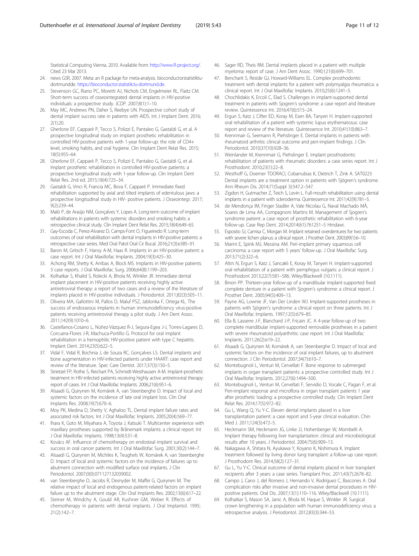<span id="page-10-0"></span>Statistical Computing Vienna. 2010. Available from: [http://www.R-project.org/](http://www.r-project.org/). Cited 23 Mar 2013.

- 24. news GSR, 2007. Meta: an R package for meta-analysis. bioconductorstatistiktudortmundde. [https://bioconductor.statistik.tu-dortmund.de.](https://bioconductor.statistik.tu-dortmund.de)
- 25. Stevenson GC, Riano PC, Moretti AJ, Nichols CM, Engelmeier RL, Flaitz CM. Short-term success of osseointegrated dental implants in HIV-positive individuals: a prospective study. JCDP. 2007;8(1):1–10.
- 26. May MC, Andrews PN, Daher S, Reebye UN. Prospective cohort study of dental implant success rate in patients with AIDS. Int J Implant Dent. 2016; 2(1):20.
- 27. Gherlone EF, Capparè P, Tecco S, Polizzi E, Pantaleo G, Gastaldi G, et al. A prospective longitudinal study on implant prosthetic rehabilitation in controlled HIV-positive patients with 1-year follow-up: the role of CD4+ level, smoking habits, and oral hygiene. Clin Implant Dent Relat Res. 2015; 18(5):955–64.
- 28. Gherlone EF, Capparè P, Tecco S, Polizzi E, Pantaleo G, Gastaldi G, et al. Implant prosthetic rehabilitation in controlled HIV-positive patients: a prospective longitudinal study with 1-year follow-up. Clin Implant Dent Relat Res. 2nd ed. 2015;18(4):725–34.
- 29. Gastaldi G, Vinci R, Francia MC, Bova F, Capparé P. Immediate fixed rehabilitation supported by axial and tilted implants of edentulous jaws: a prospective longitudinal study in HIV- positive patients. J Osseointegr. 2017; 9(2):239–44.
- 30. Maló P, de Araújo NM, Gonçalves Y, Lopes A. Long-term outcome of implant rehabilitations in patients with systemic disorders and smoking habits: a retrospective clinical study. Clin Implant Dent Relat Res. 2015;18(4):649–65.
- 31. Gay-Escoda C, Perez-Alvarez D, Camps-Font O, Figueiredo R. Long-term outcomes of oral rehabilitation with dental implants in HIV-positive patients: a retrospective case series. Med Oral Patol Oral Cir Bucal. 2016;21(3):e385–91.
- 32. Baron M, Gritsch F, Hansy A-M, Haas R. Implants in an HIV-positive patient: a case report. Int J Oral Maxillofac Implants. 2004;19(3):425–30.
- 33. Achong RM, Shetty K, Arribas A, Block MS. Implants in HIV-positive patients: 3 case reports. J Oral Maxillofac Surg. 2006;64(8):1199–203.
- 34. Kolhatkar S, Khalid S, Rolecki A, Bhola M, Winkler JR. Immediate dental implant placement in HIV-positive patients receiving highly active antiretroviral therapy: a report of two cases and a review of the literature of implants placed in HIV-positive individuals. J Periodontol. 2011;82(3):505–11.
- 35. Oliveira MA, Gallottini M, Pallos D, Maluf PSZ, Jablonka F, Ortega KL. The success of endosseous implants in human immunodeficiency virus-positive patients receiving antiretroviral therapy a pilot study. J Am Dent Assoc. 2011;142(9):1010–6.
- 36. Castellanos-Cosano L, Núñez-Vázquez R-J, Segura-Egea J-J, Torres-Lagares D, Corcuera-Flores J-R, Machuca-Portillo G. Protocol for oral implant rehabilitation in a hemophilic HIV-positive patient with type C hepatitis. Implant Dent. 2014;23(5):622–5.
- 37. Vidal F, Vidal R, Bochnia J, de Souza RC, Gonçalves LS. Dental implants and bone augmentation in HIV-infected patients under HAART: case report and review of the literature. Spec Care Dentist. 2017;37(3):150–5.
- 38. Strietzel FP, Rothe S, Reichart PA, Schmidt-Westhausen A-M. Implant-prosthetic treatment in HIV-infected patients receiving highly active antiretroviral therapy: report of cases. Int J Oral Maxillofac Implants. 2006;21(6):951–6.
- 39. Alsaadi G, Quirynen M, Komárek A, van Steenberghe D. Impact of local and systemic factors on the incidence of late oral implant loss. Clin Oral Implants Res. 2008;19(7):670–6.
- 40. Moy PK, Medina D, Shetty V, Aghaloo TL. Dental implant failure rates and associated risk factors. Int J Oral Maxillofac Implants. 2005;20(4):569–77.
- 41. Ihara K, Goto M, Miyahara A, Toyota J, Katsuki T. Multicenter experience with maxillary prostheses supported by Brånemark implants: a clinical report. Int J Oral Maxillofac Implants. 1998;13(4):531–8.
- 42. Kovács AF. Influence of chemotherapy on endosteal implant survival and success in oral cancer patients. Int J Oral Maxillofac Surg. 2001;30(2):144–7.
- 43. Alsaadi G, Quirynen M, Michiles K, Teughels W, Komárek A, van Steenberghe D. Impact of local and systemic factors on the incidence of failures up to abutment connection with modified surface oral implants. J Clin Periodontol. 2007;0(0):071127132039002.
- 44. van Steenberghe D, Jacobs R, Desnyder M, Maffei G, Quirynen M. The relative impact of local and endogenous patient-related factors on implant failure up to the abutment stage. Clin Oral Implants Res. 2002;13(6):617–22.
- 45. Steiner M, Windchy A, Gould AR, Kushner GM, Weber R. Effects of chemotherapy in patients with dental implants. J Oral Implantol. 1995; 21(2):142–7.
- 46. Sager RD, Theis RM. Dental implants placed in a patient with multiple myeloma: report of case. J Am Dent Assoc. 1990;121(6):699–701.
- 47. Bencharit S, Reside GJ, Howard-Williams EL. Complex prosthodontic treatment with dental implants for a patient with polymyalgia rheumatica: a clinical report. Int J Oral Maxillofac Implants. 2010;25(6):1241–5.
- 48. Chochlidakis K, Ercoli C, Elad S. Challenges in implant-supported dental treatment in patients with Sjogren's syndrome: a case report and literature review. Quintessence Int. 2016;47(6):515–24.
- 49. Ergun S, Katz J, Cifter ED, Koray M, Esen BA, Tanyeri H. Implant-supported oral rehabilitation of a patient with systemic lupus erythematosus: case report and review of the literature. Quintessence Int. 2010;41(10):863–7.
- 50. Krennmair G, Seemann R, Piehslinger E. Dental implants in patients with rheumatoid arthritis: clinical outcome and peri-implant findings. J Clin Periodontol. 2010;37(10):928–36.
- 51. Weinlander M, Krennmair G, Piehslinger E. Implant prosthodontic rehabilitation of patients with rheumatic disorders: a case series report. Int J Prosthodont. 2010;23(1):22–8.
- 52. Westhoff G, Doerner TDORACI, Cobarrubias K, Dietrich T, Zink A. SAT0223 Dental implants are a treatment option in patients with Sjögren's syndrome. Ann Rheum Dis. 2014;71(Suppl 3):547.2–547.
- 53. Zigdon H, Gutmacher Z, Teich S, Levin L. Full-mouth rehabilitation using dental implants in a patient with scleroderma. Quintessence Int. 2011;42(9):781–5.
- 54. de Mendonça IM, Finger Stadler A, Vale Nicolau G, Naval Machado MÂ, Soares de Lima AA, Compagnoni Martins M. Management of Sjogren's syndrome patient: a case report of prosthetic rehabilitation with 6-year follow-up. Case Rep Dent. 2014;2014(61):761251–5 Hindawi.
- 55. Esposito SJ, Camisa C, Morgan M. Implant retained overdentures for two patients with severe lichen planus: a clinical report. J Prosthet Dent. 2003;89(1):6–10.
- 56. Marini E, Spink MJ, Messina AM. Peri-implant primary squamous cell carcinoma: a case report with 5 years' follow-up. J Oral Maxillofac Surg. 2013;71(2):322–6.
- 57. Altin N, Ergun S, Katz J, Sancakli E, Koray M, Tanyeri H. Implant-supported oral rehabilitation of a patient with pemphigus vulgaris: a clinical report. J Prosthodont 2013;22(7):581–586. Wiley/Blackwell (10.1111).
- 58. Binon PP. Thirteen-year follow-up of a mandibular implant-supported fixed complete denture in a patient with Sjogren's syndrome: a clinical report. J Prosthet Dent. 2005;94(5):409–13.
- 59. Payne AG, Lownie JF, Van Der Linden WJ. Implant-supported prostheses in patients with Sjögren's syndrome: a clinical report on three patients. Int J Oral Maxillofac Implants. 1997;12(5):679–85.
- 60. Ella B, Lasserre J-F, Blanchard J-P, Fricain JC. A 4-year follow-up of two complete mandibular implant-supported removable prostheses in a patient with severe rheumatoid polyarthritis: case report. Int J Oral Maxillofac Implants. 2011;26(2):e19–22.
- 61. Alsaadi G, Quirynen M, Komárek A, van Steenberghe D. Impact of local and systemic factors on the incidence of oral implant failures, up to abutment connection. J Clin Periodontol. 2007;34(7):610–7.
- 62. Montebugnoli L, Venturi M, Cervellati F. Bone response to submerged implants in organ transplant patients: a prospective controlled study. Int J Oral Maxillofac Implants. 2012;27(6):1494–500.
- 63. Montebugnoli L, Venturi M, Cervellati F, Servidio D, Vocale C, Pagan F, et al. Peri-implant response and microflora in organ transplant patients 1 year after prosthetic loading: a prospective controlled study. Clin Implant Dent Relat Res. 2014;17(5):972–82.
- 64. Gu L, Wang Q, Yu Y-C. Eleven dental implants placed in a liver transplantation patient: a case report and 5-year clinical evaluation. Chin Med J. 2011;124(3):472–5.
- 65. Heckmann SM, Heckmann JG, Linke JJ, Hohenberger W, Mombelli A. Implant therapy following liver transplantation: clinical and microbiological results after 10 years. J Periodontol. 2004;75(6):909–13.
- 66. Nakagawa A, Shitara N, Ayukawa Y, Koyano K, Nishimura K. Implant treatment followed by living donor lung transplant: a follow-up case report. J Prosthodont Res. 2014;58(2):127–31.
- 67. Gu L, Yu Y-C. Clinical outcome of dental implants placed in liver transplant recipients after 3 years: a case series. Transplant Proc. 2011;43(7):2678–82.
- 68. Campo J, Cano J, del Romero J, Hernando V, Rodríguez C, Bascones A. Oral complication risks after invasive and non-invasive dental procedures in HIVpositive patients. Oral Dis. 2007;13(1):110–116. Wiley/Blackwell (10.1111).
- 69. Kolhatkar S, Mason SA, Janic A, Bhola M, Haque S, Winkler JR. Surgical crown lengthening in a population with human immunodeficiency virus: a retrospective analysis. J Periodontol. 2012;83(3):344–53.